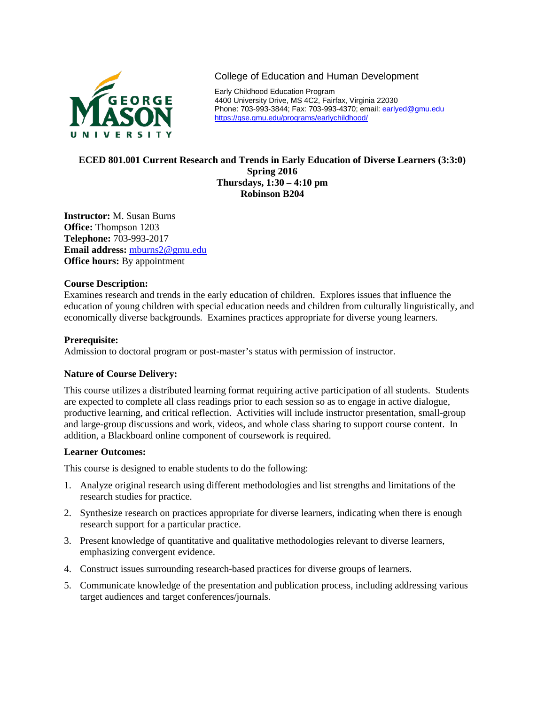

College of Education and Human Development

Early Childhood Education Program 4400 University Drive, MS 4C2, Fairfax, Virginia 22030 Phone: 703-993-3844; Fax: 703-993-4370; email[: earlyed@gmu.edu](mailto:earlyed@gmu.edu) <https://gse.gmu.edu/programs/earlychildhood/>

# **ECED 801.001 Current Research and Trends in Early Education of Diverse Learners (3:3:0) Spring 2016 Thursdays, 1:30 – 4:10 pm Robinson B204**

**Instructor:** M. Susan Burns **Office:** Thompson 1203 **Telephone:** 703-993-2017 **Email address:** [mburns2@gmu.edu](mailto:mburns2@gmu.edu) **Office hours:** By appointment

# **Course Description:**

Examines research and trends in the early education of children. Explores issues that influence the education of young children with special education needs and children from culturally linguistically, and economically diverse backgrounds. Examines practices appropriate for diverse young learners.

# **Prerequisite:**

Admission to doctoral program or post-master's status with permission of instructor.

# **Nature of Course Delivery:**

This course utilizes a distributed learning format requiring active participation of all students. Students are expected to complete all class readings prior to each session so as to engage in active dialogue, productive learning, and critical reflection. Activities will include instructor presentation, small-group and large-group discussions and work, videos, and whole class sharing to support course content. In addition, a Blackboard online component of coursework is required.

# **Learner Outcomes:**

This course is designed to enable students to do the following:

- 1. Analyze original research using different methodologies and list strengths and limitations of the research studies for practice.
- 2. Synthesize research on practices appropriate for diverse learners, indicating when there is enough research support for a particular practice.
- 3. Present knowledge of quantitative and qualitative methodologies relevant to diverse learners, emphasizing convergent evidence.
- 4. Construct issues surrounding research-based practices for diverse groups of learners.
- 5. Communicate knowledge of the presentation and publication process, including addressing various target audiences and target conferences/journals.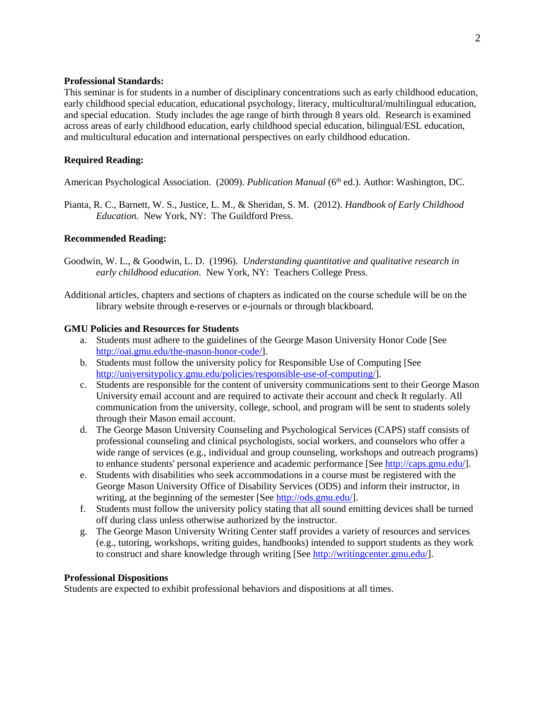## **Professional Standards:**

This seminar is for students in a number of disciplinary concentrations such as early childhood education, early childhood special education, educational psychology, literacy, multicultural/multilingual education, and special education. Study includes the age range of birth through 8 years old. Research is examined across areas of early childhood education, early childhood special education, bilingual/ESL education, and multicultural education and international perspectives on early childhood education.

# **Required Reading:**

American Psychological Association. (2009). *Publication Manual* (6<sup>th</sup> ed.). Author: Washington, DC.

Pianta, R. C., Barnett, W. S., Justice, L. M., & Sheridan, S. M. (2012). *Handbook of Early Childhood Education.* New York, NY: The Guildford Press.

# **Recommended Reading:**

- Goodwin, W. L., & Goodwin, L. D. (1996). *Understanding quantitative and qualitative research in early childhood education.* New York, NY: Teachers College Press.
- Additional articles, chapters and sections of chapters as indicated on the course schedule will be on the library website through e-reserves or e-journals or through blackboard.

## **GMU Policies and Resources for Students**

- a. Students must adhere to the guidelines of the George Mason University Honor Code [See [http://oai.gmu.edu/the-mason-honor-code/\]](http://oai.gmu.edu/the-mason-honor-code/).
- b. Students must follow the university policy for Responsible Use of Computing [See [http://universitypolicy.gmu.edu/policies/responsible-use-of-computing/\]](http://universitypolicy.gmu.edu/policies/responsible-use-of-computing/).
- c. Students are responsible for the content of university communications sent to their George Mason University email account and are required to activate their account and check It regularly. All communication from the university, college, school, and program will be sent to students solely through their Mason email account.
- d. The George Mason University Counseling and Psychological Services (CAPS) staff consists of professional counseling and clinical psychologists, social workers, and counselors who offer a wide range of services (e.g., individual and group counseling, workshops and outreach programs) to enhance students' personal experience and academic performance [See [http://caps.gmu.edu/\]](http://caps.gmu.edu/).
- e. Students with disabilities who seek accommodations in a course must be registered with the George Mason University Office of Disability Services (ODS) and inform their instructor, in writing, at the beginning of the semester [See [http://ods.gmu.edu/\]](http://ods.gmu.edu/).
- f. Students must follow the university policy stating that all sound emitting devices shall be turned off during class unless otherwise authorized by the instructor.
- g. The George Mason University Writing Center staff provides a variety of resources and services (e.g., tutoring, workshops, writing guides, handbooks) intended to support students as they work to construct and share knowledge through writing [See [http://writingcenter.gmu.edu/\]](http://writingcenter.gmu.edu/).

### **Professional Dispositions**

Students are expected to exhibit professional behaviors and dispositions at all times.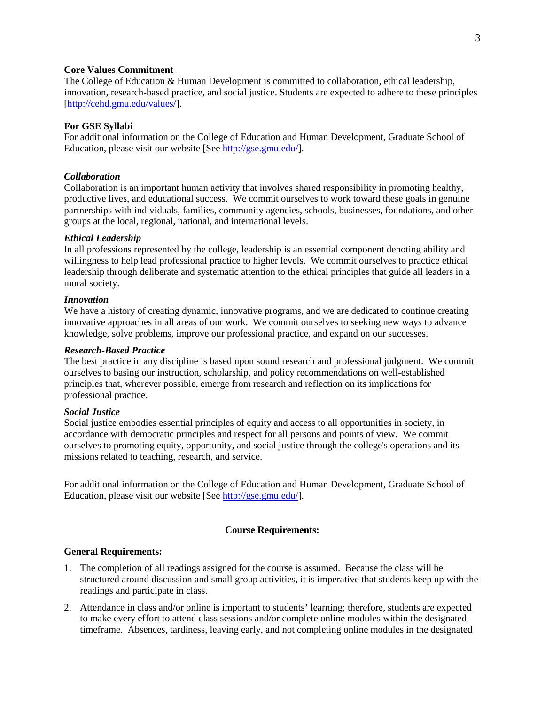## **Core Values Commitment**

The College of Education & Human Development is committed to collaboration, ethical leadership, innovation, research-based practice, and social justice. Students are expected to adhere to these principles [\[http://cehd.gmu.edu/values/\]](http://cehd.gmu.edu/values/).

### **For GSE Syllabi**

For additional information on the College of Education and Human Development, Graduate School of Education, please visit our website [See [http://gse.gmu.edu/\]](http://gse.gmu.edu/).

### *Collaboration*

Collaboration is an important human activity that involves shared responsibility in promoting healthy, productive lives, and educational success. We commit ourselves to work toward these goals in genuine partnerships with individuals, families, community agencies, schools, businesses, foundations, and other groups at the local, regional, national, and international levels.

### *Ethical Leadership*

In all professions represented by the college, leadership is an essential component denoting ability and willingness to help lead professional practice to higher levels. We commit ourselves to practice ethical leadership through deliberate and systematic attention to the ethical principles that guide all leaders in a moral society.

#### *Innovation*

We have a history of creating dynamic, innovative programs, and we are dedicated to continue creating innovative approaches in all areas of our work. We commit ourselves to seeking new ways to advance knowledge, solve problems, improve our professional practice, and expand on our successes.

### *Research-Based Practice*

The best practice in any discipline is based upon sound research and professional judgment. We commit ourselves to basing our instruction, scholarship, and policy recommendations on well-established principles that, wherever possible, emerge from research and reflection on its implications for professional practice.

### *Social Justice*

Social justice embodies essential principles of equity and access to all opportunities in society, in accordance with democratic principles and respect for all persons and points of view. We commit ourselves to promoting equity, opportunity, and social justice through the college's operations and its missions related to teaching, research, and service.

For additional information on the College of Education and Human Development, Graduate School of Education, please visit our website [See [http://gse.gmu.edu/\]](http://gse.gmu.edu/).

## **Course Requirements:**

#### **General Requirements:**

- 1. The completion of all readings assigned for the course is assumed. Because the class will be structured around discussion and small group activities, it is imperative that students keep up with the readings and participate in class.
- 2. Attendance in class and/or online is important to students' learning; therefore, students are expected to make every effort to attend class sessions and/or complete online modules within the designated timeframe. Absences, tardiness, leaving early, and not completing online modules in the designated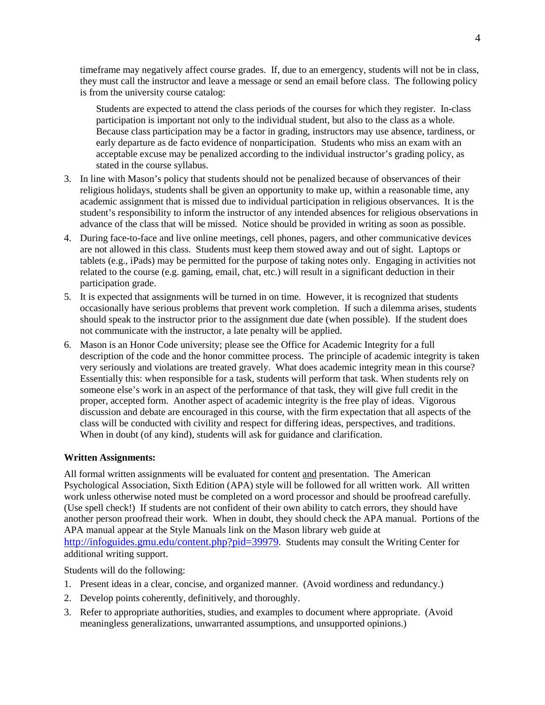timeframe may negatively affect course grades. If, due to an emergency, students will not be in class, they must call the instructor and leave a message or send an email before class. The following policy is from the university course catalog:

Students are expected to attend the class periods of the courses for which they register. In-class participation is important not only to the individual student, but also to the class as a whole. Because class participation may be a factor in grading, instructors may use absence, tardiness, or early departure as de facto evidence of nonparticipation. Students who miss an exam with an acceptable excuse may be penalized according to the individual instructor's grading policy, as stated in the course syllabus.

- 3. In line with Mason's policy that students should not be penalized because of observances of their religious holidays, students shall be given an opportunity to make up, within a reasonable time, any academic assignment that is missed due to individual participation in religious observances. It is the student's responsibility to inform the instructor of any intended absences for religious observations in advance of the class that will be missed. Notice should be provided in writing as soon as possible.
- 4. During face-to-face and live online meetings, cell phones, pagers, and other communicative devices are not allowed in this class. Students must keep them stowed away and out of sight. Laptops or tablets (e.g., iPads) may be permitted for the purpose of taking notes only. Engaging in activities not related to the course (e.g. gaming, email, chat, etc.) will result in a significant deduction in their participation grade.
- 5. It is expected that assignments will be turned in on time. However, it is recognized that students occasionally have serious problems that prevent work completion. If such a dilemma arises, students should speak to the instructor prior to the assignment due date (when possible). If the student does not communicate with the instructor, a late penalty will be applied.
- 6. Mason is an Honor Code university; please see the Office for Academic Integrity for a full description of the code and the honor committee process. The principle of academic integrity is taken very seriously and violations are treated gravely. What does academic integrity mean in this course? Essentially this: when responsible for a task, students will perform that task. When students rely on someone else's work in an aspect of the performance of that task, they will give full credit in the proper, accepted form. Another aspect of academic integrity is the free play of ideas. Vigorous discussion and debate are encouraged in this course, with the firm expectation that all aspects of the class will be conducted with civility and respect for differing ideas, perspectives, and traditions. When in doubt (of any kind), students will ask for guidance and clarification.

# **Written Assignments:**

All formal written assignments will be evaluated for content and presentation. The American Psychological Association, Sixth Edition (APA) style will be followed for all written work. All written work unless otherwise noted must be completed on a word processor and should be proofread carefully. (Use spell check!) If students are not confident of their own ability to catch errors, they should have another person proofread their work. When in doubt, they should check the APA manual. Portions of the APA manual appear at the Style Manuals link on the Mason library web guide at [http://infoguides.gmu.edu/content.php?pid=39979.](http://infoguides.gmu.edu/content.php?pid=39979) Students may consult the Writing Center for additional writing support.

Students will do the following:

- 1. Present ideas in a clear, concise, and organized manner. (Avoid wordiness and redundancy.)
- 2. Develop points coherently, definitively, and thoroughly.
- 3. Refer to appropriate authorities, studies, and examples to document where appropriate. (Avoid meaningless generalizations, unwarranted assumptions, and unsupported opinions.)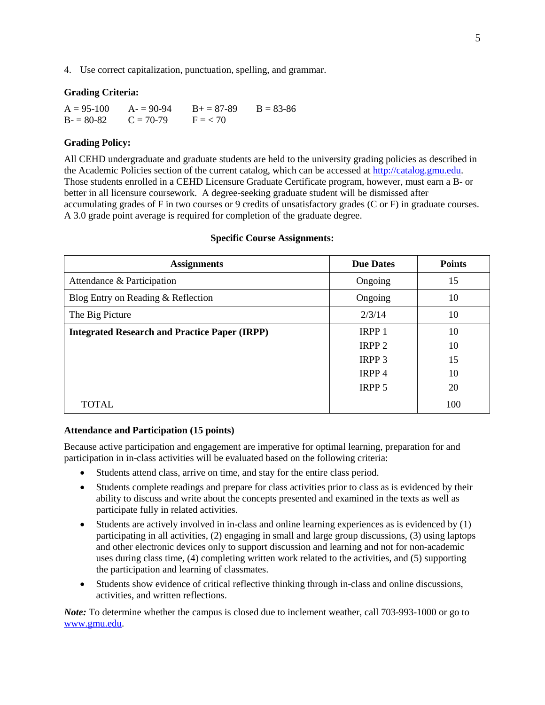4. Use correct capitalization, punctuation, spelling, and grammar.

### **Grading Criteria:**

| $A = 95-100$            | $A = 90-94$ | $B_{+} = 87 - 89$ | $B = 83 - 86$ |
|-------------------------|-------------|-------------------|---------------|
| $B = 80-82$ $C = 70-79$ |             | $F \equiv 270$    |               |

## **Grading Policy:**

All CEHD undergraduate and graduate students are held to the university grading policies as described in the Academic Policies section of the current catalog, which can be accessed at [http://catalog.gmu.edu.](http://catalog.gmu.edu/) Those students enrolled in a CEHD Licensure Graduate Certificate program, however, must earn a B- or better in all licensure coursework. A degree-seeking graduate student will be dismissed after accumulating grades of F in two courses or 9 credits of unsatisfactory grades (C or F) in graduate courses. A 3.0 grade point average is required for completion of the graduate degree.

| <b>Assignments</b>                                   | <b>Due Dates</b>  | <b>Points</b> |
|------------------------------------------------------|-------------------|---------------|
| Attendance & Participation                           | Ongoing           | 15            |
| Blog Entry on Reading & Reflection                   | Ongoing           | 10            |
| The Big Picture                                      | 2/3/14            | 10            |
| <b>Integrated Research and Practice Paper (IRPP)</b> | IRPP <sub>1</sub> | 10            |
|                                                      | IRPP <sub>2</sub> | 10            |
|                                                      | IRPP <sub>3</sub> | 15            |
|                                                      | IRPP <sub>4</sub> | 10            |
|                                                      | <b>IRPP 5</b>     | 20            |
| <b>TOTAL</b>                                         |                   | 100           |

### **Specific Course Assignments:**

## **Attendance and Participation (15 points)**

Because active participation and engagement are imperative for optimal learning, preparation for and participation in in-class activities will be evaluated based on the following criteria:

- Students attend class, arrive on time, and stay for the entire class period.
- Students complete readings and prepare for class activities prior to class as is evidenced by their ability to discuss and write about the concepts presented and examined in the texts as well as participate fully in related activities.
- Students are actively involved in in-class and online learning experiences as is evidenced by (1) participating in all activities, (2) engaging in small and large group discussions, (3) using laptops and other electronic devices only to support discussion and learning and not for non-academic uses during class time, (4) completing written work related to the activities, and (5) supporting the participation and learning of classmates.
- Students show evidence of critical reflective thinking through in-class and online discussions, activities, and written reflections.

*Note:* To determine whether the campus is closed due to inclement weather, call 703-993-1000 or go to [www.gmu.edu.](http://www.gmu.edu/)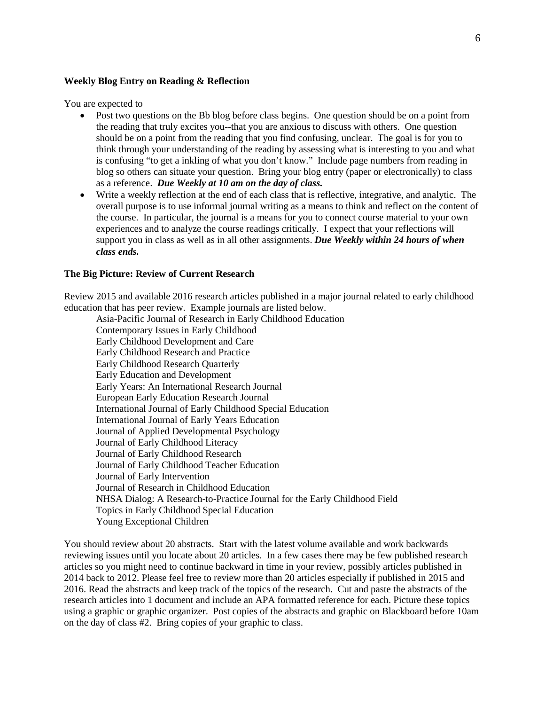### **Weekly Blog Entry on Reading & Reflection**

You are expected to

- Post two questions on the Bb blog before class begins. One question should be on a point from the reading that truly excites you--that you are anxious to discuss with others. One question should be on a point from the reading that you find confusing, unclear. The goal is for you to think through your understanding of the reading by assessing what is interesting to you and what is confusing "to get a inkling of what you don't know." Include page numbers from reading in blog so others can situate your question. Bring your blog entry (paper or electronically) to class as a reference. *Due Weekly at 10 am on the day of class.*
- Write a weekly reflection at the end of each class that is reflective, integrative, and analytic. The overall purpose is to use informal journal writing as a means to think and reflect on the content of the course. In particular, the journal is a means for you to connect course material to your own experiences and to analyze the course readings critically. I expect that your reflections will support you in class as well as in all other assignments. *Due Weekly within 24 hours of when class ends.*

## **The Big Picture: Review of Current Research**

Review 2015 and available 2016 research articles published in a major journal related to early childhood education that has peer review. Example journals are listed below.

Asia-Pacific Journal of Research in Early Childhood Education Contemporary Issues in Early Childhood Early Childhood Development and Care Early Childhood Research and Practice Early Childhood Research Quarterly Early Education and Development Early Years: An International Research Journal European Early Education Research Journal International Journal of Early Childhood Special Education International Journal of Early Years Education Journal of Applied Developmental Psychology Journal of Early Childhood Literacy Journal of Early Childhood Research Journal of Early Childhood Teacher Education Journal of Early Intervention Journal of Research in Childhood Education NHSA Dialog: A Research-to-Practice Journal for the Early Childhood Field Topics in Early Childhood Special Education Young Exceptional Children

You should review about 20 abstracts. Start with the latest volume available and work backwards reviewing issues until you locate about 20 articles. In a few cases there may be few published research articles so you might need to continue backward in time in your review, possibly articles published in 2014 back to 2012. Please feel free to review more than 20 articles especially if published in 2015 and 2016. Read the abstracts and keep track of the topics of the research. Cut and paste the abstracts of the research articles into 1 document and include an APA formatted reference for each. Picture these topics using a graphic or graphic organizer. Post copies of the abstracts and graphic on Blackboard before 10am on the day of class #2. Bring copies of your graphic to class.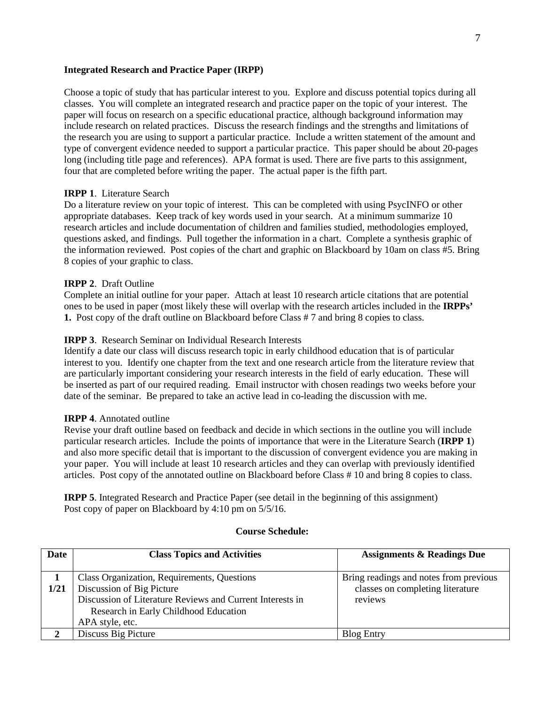### **Integrated Research and Practice Paper (IRPP)**

Choose a topic of study that has particular interest to you. Explore and discuss potential topics during all classes. You will complete an integrated research and practice paper on the topic of your interest. The paper will focus on research on a specific educational practice, although background information may include research on related practices. Discuss the research findings and the strengths and limitations of the research you are using to support a particular practice. Include a written statement of the amount and type of convergent evidence needed to support a particular practice. This paper should be about 20-pages long (including title page and references). APA format is used. There are five parts to this assignment, four that are completed before writing the paper. The actual paper is the fifth part.

### **IRPP 1**. Literature Search

Do a literature review on your topic of interest. This can be completed with using PsycINFO or other appropriate databases. Keep track of key words used in your search. At a minimum summarize 10 research articles and include documentation of children and families studied, methodologies employed, questions asked, and findings. Pull together the information in a chart. Complete a synthesis graphic of the information reviewed. Post copies of the chart and graphic on Blackboard by 10am on class #5. Bring 8 copies of your graphic to class.

## **IRPP 2**. Draft Outline

Complete an initial outline for your paper. Attach at least 10 research article citations that are potential ones to be used in paper (most likely these will overlap with the research articles included in the **IRPPs' 1.** Post copy of the draft outline on Blackboard before Class # 7 and bring 8 copies to class.

### **IRPP 3**. Research Seminar on Individual Research Interests

Identify a date our class will discuss research topic in early childhood education that is of particular interest to you. Identify one chapter from the text and one research article from the literature review that are particularly important considering your research interests in the field of early education. These will be inserted as part of our required reading. Email instructor with chosen readings two weeks before your date of the seminar. Be prepared to take an active lead in co-leading the discussion with me.

#### **IRPP 4**. Annotated outline

Revise your draft outline based on feedback and decide in which sections in the outline you will include particular research articles. Include the points of importance that were in the Literature Search (**IRPP 1**) and also more specific detail that is important to the discussion of convergent evidence you are making in your paper. You will include at least 10 research articles and they can overlap with previously identified articles. Post copy of the annotated outline on Blackboard before Class # 10 and bring 8 copies to class.

**IRPP 5**. Integrated Research and Practice Paper (see detail in the beginning of this assignment) Post copy of paper on Blackboard by 4:10 pm on 5/5/16.

#### **Course Schedule:**

| <b>Date</b> | <b>Class Topics and Activities</b>                                                                                                                                                                | <b>Assignments &amp; Readings Due</b>                                                 |
|-------------|---------------------------------------------------------------------------------------------------------------------------------------------------------------------------------------------------|---------------------------------------------------------------------------------------|
| 1/21        | Class Organization, Requirements, Questions<br>Discussion of Big Picture<br>Discussion of Literature Reviews and Current Interests in<br>Research in Early Childhood Education<br>APA style, etc. | Bring readings and notes from previous<br>classes on completing literature<br>reviews |
|             | Discuss Big Picture                                                                                                                                                                               | <b>Blog Entry</b>                                                                     |